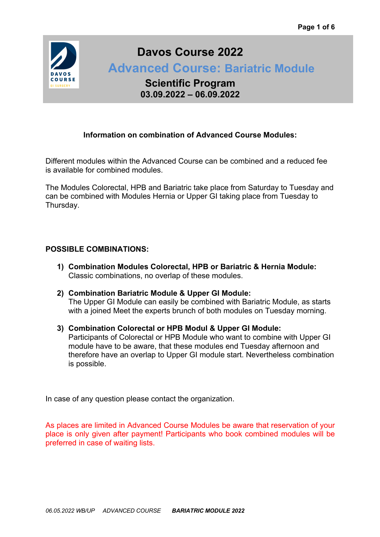

# **Davos Course 2022**

 **Advanced Course: Bariatric Module** 

**Scientific Program 03.09.2022 – 06.09.2022**

### **Information on combination of Advanced Course Modules:**

Different modules within the Advanced Course can be combined and a reduced fee is available for combined modules.

The Modules Colorectal, HPB and Bariatric take place from Saturday to Tuesday and can be combined with Modules Hernia or Upper GI taking place from Tuesday to Thursday.

### **POSSIBLE COMBINATIONS:**

- **1) Combination Modules Colorectal, HPB or Bariatric & Hernia Module:** Classic combinations, no overlap of these modules.
- **2) Combination Bariatric Module & Upper GI Module:** The Upper GI Module can easily be combined with Bariatric Module, as starts with a joined Meet the experts brunch of both modules on Tuesday morning.
- **3) Combination Colorectal or HPB Modul & Upper GI Module:** Participants of Colorectal or HPB Module who want to combine with Upper GI module have to be aware, that these modules end Tuesday afternoon and therefore have an overlap to Upper GI module start. Nevertheless combination is possible.

In case of any question please contact the organization.

As places are limited in Advanced Course Modules be aware that reservation of your place is only given after payment! Participants who book combined modules will be preferred in case of waiting lists.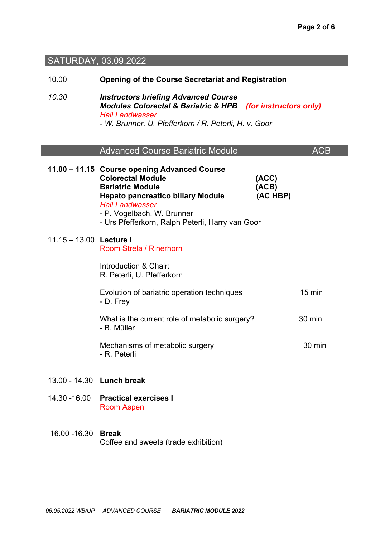## SATURDAY, 03.09.2022

| 10.00                   | <b>Opening of the Course Secretariat and Registration</b>                                                                                                                                                                                                   |                            |                  |
|-------------------------|-------------------------------------------------------------------------------------------------------------------------------------------------------------------------------------------------------------------------------------------------------------|----------------------------|------------------|
| 10.30                   | <b>Instructors briefing Advanced Course</b><br><b>Modules Colorectal &amp; Bariatric &amp; HPB</b><br><b>Hall Landwasser</b><br>- W. Brunner, U. Pfefferkorn / R. Peterli, H. v. Goor                                                                       | (for instructors only)     |                  |
|                         | <b>Advanced Course Bariatric Module</b>                                                                                                                                                                                                                     |                            | <b>ACB</b>       |
|                         | 11.00 - 11.15 Course opening Advanced Course<br><b>Colorectal Module</b><br><b>Bariatric Module</b><br><b>Hepato pancreatico biliary Module</b><br><b>Hall Landwasser</b><br>- P. Vogelbach, W. Brunner<br>- Urs Pfefferkorn, Ralph Peterli, Harry van Goor | (ACC)<br>(ACB)<br>(AC HBP) |                  |
| 11.15 - 13.00 Lecture I | Room Strela / Rinerhorn                                                                                                                                                                                                                                     |                            |                  |
|                         | Introduction & Chair:<br>R. Peterli, U. Pfefferkorn                                                                                                                                                                                                         |                            |                  |
|                         | Evolution of bariatric operation techniques<br>- D. Frey                                                                                                                                                                                                    |                            | $15 \text{ min}$ |
|                         | What is the current role of metabolic surgery?<br>- B. Müller                                                                                                                                                                                               |                            | 30 min           |
|                         | Mechanisms of metabolic surgery<br>- R. Peterli                                                                                                                                                                                                             |                            | 30 min           |
|                         | 13.00 - 14.30 Lunch break                                                                                                                                                                                                                                   |                            |                  |
| 14.30 - 16.00           | <b>Practical exercises I</b><br><b>Room Aspen</b>                                                                                                                                                                                                           |                            |                  |
| 16.00 - 16.30           | <b>Break</b><br>Coffee and sweets (trade exhibition)                                                                                                                                                                                                        |                            |                  |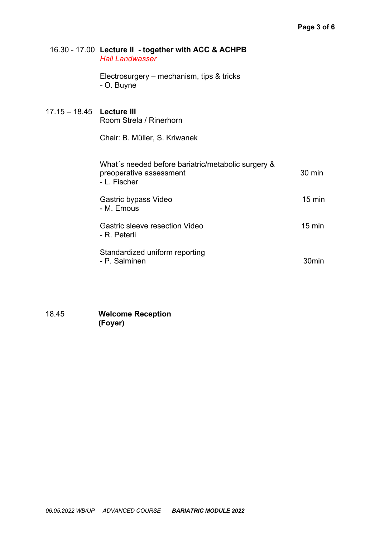#### 16.30 - 17.00 **Lecture II - together with ACC & ACHPB** *Hall Landwasser*

Electrosurgery – mechanism, tips & tricks *-* O. Buyne

### 17.15 – 18.45 **Lecture III** Room Strela / Rinerhorn

Chair: B. Müller, S. Kriwanek

| What's needed before bariatric/metabolic surgery &<br>preoperative assessment<br>- L. Fischer | $30 \text{ min}$ |
|-----------------------------------------------------------------------------------------------|------------------|
| Gastric bypass Video<br>- M. Emous                                                            | $15 \text{ min}$ |
| Gastric sleeve resection Video<br>- R. Peterli                                                | $15 \text{ min}$ |
| Standardized uniform reporting<br>- P. Salminen                                               |                  |

18.45 **Welcome Reception (Foyer)**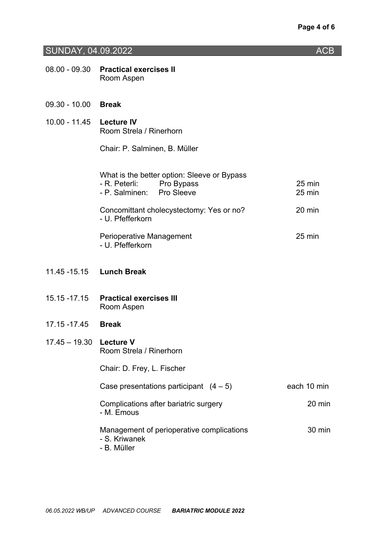## SUNDAY, 04.09.2022 ACB

|                             | 08.00 - 09.30 Practical exercises II<br>Room Aspen                                                      |                  |
|-----------------------------|---------------------------------------------------------------------------------------------------------|------------------|
| 09.30 - 10.00 Break         |                                                                                                         |                  |
| 10.00 - 11.45    Lecture IV | Room Strela / Rinerhorn                                                                                 |                  |
|                             | Chair: P. Salminen, B. Müller                                                                           |                  |
|                             | What is the better option: Sleeve or Bypass<br>- R. Peterli:<br>Pro Bypass<br>- P. Salminen: Pro Sleeve | 25 min<br>25 min |
|                             | Concomittant cholecystectomy: Yes or no?<br>- U. Pfefferkorn                                            | 20 min           |
|                             | Perioperative Management<br>- U. Pfefferkorn                                                            | 25 min           |
|                             | 11.45 - 15.15 Lunch Break                                                                               |                  |
| 15.15 - 17.15               | <b>Practical exercises III</b><br>Room Aspen                                                            |                  |
| 17.15 -17.45                | <b>Break</b>                                                                                            |                  |
| $17.45 - 19.30$ Lecture V   | Room Strela / Rinerhorn                                                                                 |                  |
|                             | Chair: D. Frey, L. Fischer                                                                              |                  |
|                             | Case presentations participant $(4-5)$                                                                  | each 10 min      |
|                             | Complications after bariatric surgery<br>- M. Emous                                                     | 20 min           |
|                             | Management of perioperative complications<br>- S. Kriwanek<br>M:11                                      | 30 min           |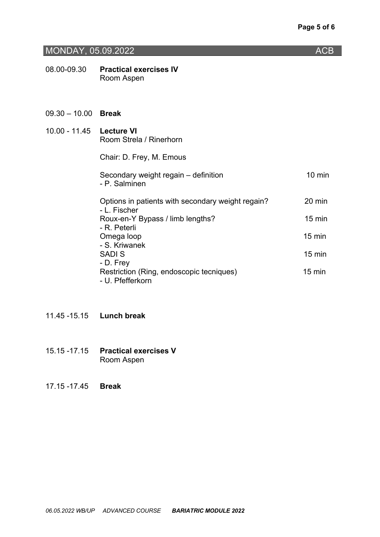## MONDAY, 05.09.2022 **ACB**

08.00-09.30 **Practical exercises IV** Room Aspen

#### 09.30 – 10.00 **Break**

| 10.00 - 11.45    Lecture VI | Room Strela / Rinerhorn                                                   |                  |
|-----------------------------|---------------------------------------------------------------------------|------------------|
|                             | Chair: D. Frey, M. Emous                                                  |                  |
|                             | Secondary weight regain – definition<br>- P. Salminen                     | $10 \text{ min}$ |
|                             | Options in patients with secondary weight regain?<br>- L. Fischer         | 20 min           |
|                             | Roux-en-Y Bypass / limb lengths?<br>- R. Peterli                          | $15 \text{ min}$ |
|                             | Omega loop<br>- S. Kriwanek                                               | $15 \text{ min}$ |
|                             | <b>SADIS</b>                                                              | $15 \text{ min}$ |
|                             | - D. Frey<br>Restriction (Ring, endoscopic tecniques)<br>- U. Pfefferkorn | $15 \text{ min}$ |

- 11.45 -15.15 **Lunch break**
- 15.15 -17.15 **Practical exercises V** Room Aspen

<sup>17.15 -17.45</sup> **Break**